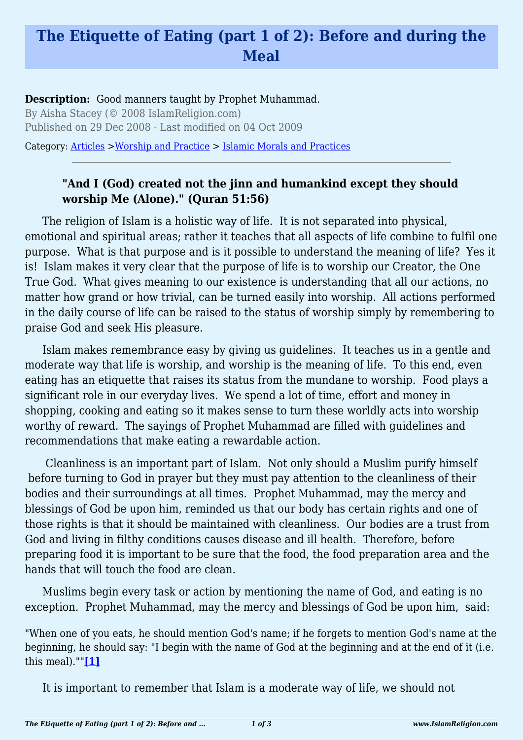## **The Etiquette of Eating (part 1 of 2): Before and during the Meal**

**Description:** Good manners taught by Prophet Muhammad. By Aisha Stacey (© 2008 IslamReligion.com) Published on 29 Dec 2008 - Last modified on 04 Oct 2009

Category: [Articles](http://www.islamreligion.com/articles/) >[Worship and Practice](http://www.islamreligion.com/category/55/) > [Islamic Morals and Practices](http://www.islamreligion.com/category/58/)

## **"And I (God) created not the jinn and humankind except they should worship Me (Alone)." (Quran 51:56)**

The religion of Islam is a holistic way of life. It is not separated into physical, emotional and spiritual areas; rather it teaches that all aspects of life combine to fulfil one purpose. What is that purpose and is it possible to understand the meaning of life? Yes it is! Islam makes it very clear that the purpose of life is to worship our Creator, the One True God. What gives meaning to our existence is understanding that all our actions, no matter how grand or how trivial, can be turned easily into worship. All actions performed in the daily course of life can be raised to the status of worship simply by remembering to praise God and seek His pleasure.

Islam makes remembrance easy by giving us guidelines. It teaches us in a gentle and moderate way that life is worship, and worship is the meaning of life. To this end, even eating has an etiquette that raises its status from the mundane to worship. Food plays a significant role in our everyday lives. We spend a lot of time, effort and money in shopping, cooking and eating so it makes sense to turn these worldly acts into worship worthy of reward. The sayings of Prophet Muhammad are filled with guidelines and recommendations that make eating a rewardable action.

 Cleanliness is an important part of Islam. Not only should a Muslim purify himself before turning to God in prayer but they must pay attention to the cleanliness of their bodies and their surroundings at all times. Prophet Muhammad, may the mercy and blessings of God be upon him, reminded us that our body has certain rights and one of those rights is that it should be maintained with cleanliness. Our bodies are a trust from God and living in filthy conditions causes disease and ill health. Therefore, before preparing food it is important to be sure that the food, the food preparation area and the hands that will touch the food are clean.

Muslims begin every task or action by mentioning the name of God, and eating is no exception. Prophet Muhammad, may the mercy and blessings of God be upon him, said:

<span id="page-0-0"></span>"When one of you eats, he should mention God's name; if he forgets to mention God's name at the beginning, he should say: "I begin with the name of God at the beginning and at the end of it (i.e. this meal).""**[\[1\]](#page-2-0)**

It is important to remember that Islam is a moderate way of life, we should not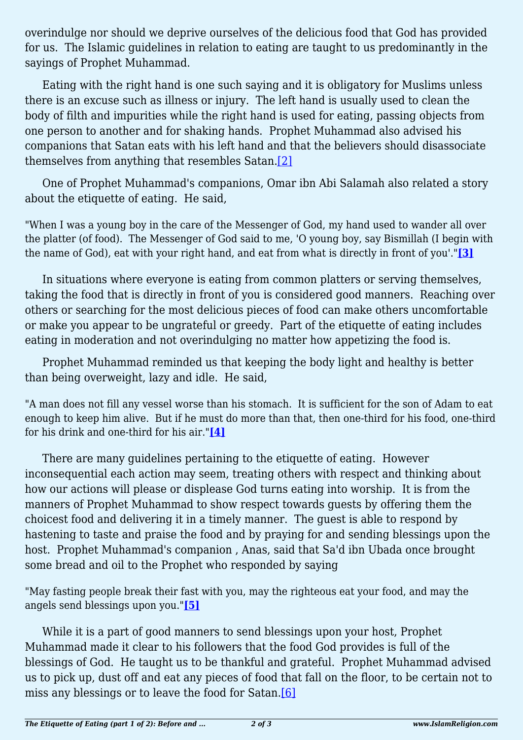overindulge nor should we deprive ourselves of the delicious food that God has provided for us. The Islamic guidelines in relation to eating are taught to us predominantly in the sayings of Prophet Muhammad.

Eating with the right hand is one such saying and it is obligatory for Muslims unless there is an excuse such as illness or injury. The left hand is usually used to clean the body of filth and impurities while the right hand is used for eating, passing objects from one person to another and for shaking hands. Prophet Muhammad also advised his companions that Satan eats with his left hand and that the believers should disassociate themselves from anything that resembles Satan.[\[2\]](#page-2-1)

<span id="page-1-0"></span>One of Prophet Muhammad's companions, Omar ibn Abi Salamah also related a story about the etiquette of eating. He said,

"When I was a young boy in the care of the Messenger of God, my hand used to wander all over the platter (of food). The Messenger of God said to me, 'O young boy, say Bismillah (I begin with the name of God), eat with your right hand, and eat from what is directly in front of you'."**[\[3\]](#page-2-2)**

<span id="page-1-1"></span>In situations where everyone is eating from common platters or serving themselves, taking the food that is directly in front of you is considered good manners. Reaching over others or searching for the most delicious pieces of food can make others uncomfortable or make you appear to be ungrateful or greedy. Part of the etiquette of eating includes eating in moderation and not overindulging no matter how appetizing the food is.

Prophet Muhammad reminded us that keeping the body light and healthy is better than being overweight, lazy and idle. He said,

"A man does not fill any vessel worse than his stomach. It is sufficient for the son of Adam to eat enough to keep him alive. But if he must do more than that, then one-third for his food, one-third for his drink and one-third for his air."**[\[4\]](#page-2-3)**

<span id="page-1-2"></span>There are many guidelines pertaining to the etiquette of eating. However inconsequential each action may seem, treating others with respect and thinking about how our actions will please or displease God turns eating into worship. It is from the manners of Prophet Muhammad to show respect towards guests by offering them the choicest food and delivering it in a timely manner. The guest is able to respond by hastening to taste and praise the food and by praying for and sending blessings upon the host. Prophet Muhammad's companion , Anas, said that Sa'd ibn Ubada once brought some bread and oil to the Prophet who responded by saying

<span id="page-1-3"></span>"May fasting people break their fast with you, may the righteous eat your food, and may the angels send blessings upon you."**[\[5\]](#page-2-4)**

<span id="page-1-4"></span>While it is a part of good manners to send blessings upon your host, Prophet Muhammad made it clear to his followers that the food God provides is full of the blessings of God. He taught us to be thankful and grateful. Prophet Muhammad advised us to pick up, dust off and eat any pieces of food that fall on the floor, to be certain not to miss any blessings or to leave the food for Satan[.\[6\]](#page-2-5)